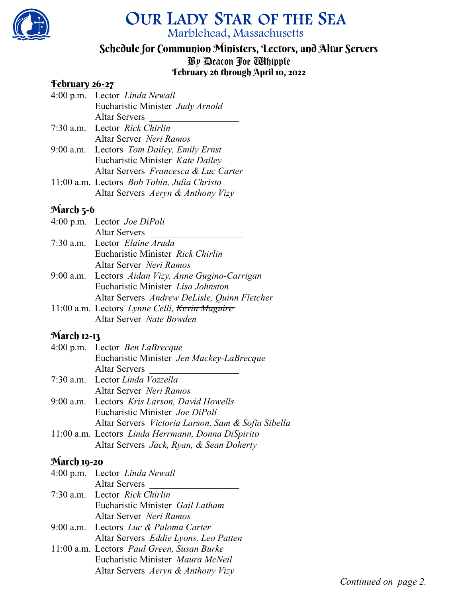

# OUR LADY STAR OF THE SEA Marblehead, Massachusetts

# Schedule for Communion Ministers, Lectors, and Altar Servers

By Deacon Joe Whipple

## February 26 through April 10, 2022

#### February 26-27

|  | 4:00 p.m. Lector Linda Newall               |
|--|---------------------------------------------|
|  | Eucharistic Minister Judy Arnold            |
|  | <b>Altar Servers</b>                        |
|  | 7:30 a.m. Lector Rick Chirlin               |
|  | Altar Server Neri Ramos                     |
|  | 9:00 a.m. Lectors Tom Dailey, Emily Ernst   |
|  | Eucharistic Minister Kate Dailey            |
|  | Altar Servers Francesca & Luc Carter        |
|  | 11:00 a.m. Lectors Bob Tobin, Julia Christo |
|  | Altar Servers Aeryn & Anthony Vizy          |

## March 5-6

| 4:00 p.m. Lector <i>Joe DiPoli</i>                 |
|----------------------------------------------------|
| <b>Altar Servers</b>                               |
| 7:30 a.m. Lector Elaine Aruda                      |
| Eucharistic Minister Rick Chirlin                  |
| Altar Server Neri Ramos                            |
| 9:00 a.m. Lectors Aidan Vizy, Anne Gugino-Carrigan |
| Eucharistic Minister Lisa Johnston                 |
| Altar Servers Andrew DeLisle, Quinn Fletcher       |
| 11:00 a.m. Lectors Lynne Celli, Kevin Maguire      |
| Altar Server Nate Bowden                           |
|                                                    |

## **March 12-13**

| 4:00 p.m. Lector Ben LaBrecque                     |
|----------------------------------------------------|
| Eucharistic Minister Jen Mackey-LaBrecque          |
| <b>Altar Servers</b>                               |
| 7:30 a.m. Lector Linda Vozzella                    |
| Altar Server Neri Ramos                            |
| 9:00 a.m. Lectors Kris Larson, David Howells       |
| Eucharistic Minister Joe DiPoli                    |
| Altar Servers Victoria Larson, Sam & Sofia Sibella |
| 11:00 a.m. Lectors Linda Herrmann, Donna DiSpirito |

Altar Servers Jack, Ryan, & Sean Doherty

#### **March 19-20**

| 4:00 p.m. Lector Linda Newall              |
|--------------------------------------------|
| <b>Altar Servers</b>                       |
| 7:30 a.m. Lector Rick Chirlin              |
| Eucharistic Minister Gail Latham           |
| Altar Server Neri Ramos                    |
| 9:00 a.m. Lectors Luc & Paloma Carter      |
| Altar Servers Eddie Lyons, Leo Patten      |
| 11:00 a.m. Lectors Paul Green, Susan Burke |
| Eucharistic Minister Maura McNeil          |
| Altar Servers Aeryn & Anthony Vizy         |